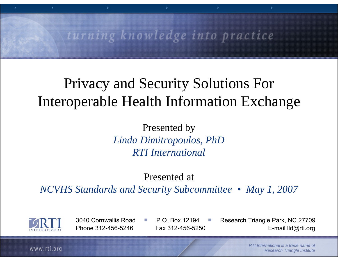#### turning knowledge into practice

#### Privacy and Security Solutions For Interoperable Health Information Exchange

Presented by *Linda Dimitropoulos, PhD RTI International*

Presented at

*NCVHS Standards and Security Subcommittee • May 1, 2007*



3040 Cornwallis Road

P.O. Box 12194

 Research Triangle Park, NC 27709 Phone 312-456-5246 Fax 312-456-5250 E-mail IId@rti.org

www.rti.org

*RTI International is a trade name of Research Triangle Institute*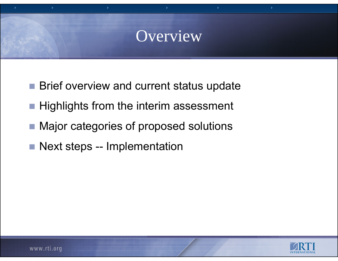#### Overview

- Brief overview and current status update
- **Highlights from the interim assessment**
- Major categories of proposed solutions
- Next steps -- Implementation

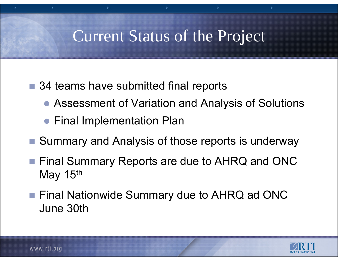## Current Status of the Project

- 34 teams have submitted final reports
	- Assessment of Variation and Analysis of Solutions
	- **Final Implementation Plan**
- Summary and Analysis of those reports is underway
- Final Summary Reports are due to AHRQ and ONC May 15<sup>th</sup>
- Final Nationwide Summary due to AHRQ ad ONC June 30th

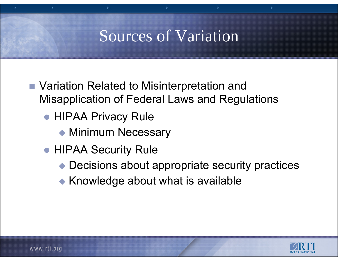## Sources of Variation

- Variation Related to Misinterpretation and Misapplication of Federal Laws and Regulations
	- **HIPAA Privacy Rule** 
		- ◆ Minimum Necessary
	- **HIPAA Security Rule** 
		- ◆ Decisions about appropriate security practices
		- $\blacktriangleright$  Knowledge about what is available

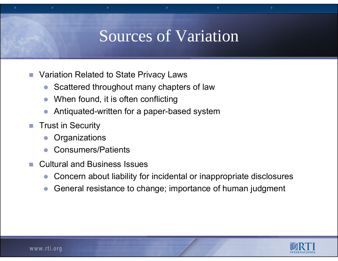#### Sources of Variation

- **The Co**  Variation Related to State Privacy Laws
	- O Scattered throughout many chapters of law
	- zWhen found, it is often conflicting
	- $\bullet$ Antiquated-written for a paper-based system
- $\mathcal{C}^{\mathcal{A}}$  Trust in Security
	- O **Organizations**
	- zConsumers/Patients
- Cultural and Business Issues
	- $\bullet$ Concern about liability for incidental or inappropriate disclosures
	- O General resistance to change; importance of human judgment

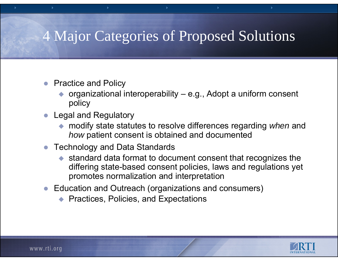#### 4 Major Categories of Proposed Solutions

- $\bullet$  Practice and Policy
	- $\blacklozenge$  organizational interoperability – e.g., Adopt a uniform consent policy
- O Legal and Regulatory
	- modify state statutes to resolve differences regarding *when* and *how* patient consent is obtained and documented
- Technology and Data Standards
	- $\blacklozenge$  standard data format to document consent that recognizes the differing state-based consent policies, laws and regulations yet promotes normalization and interpretation
- $\bullet$  Education and Outreach (organizations and consumers)
	- ◆ Practices, Policies, and Expectations

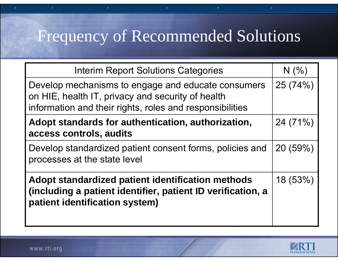| <b>Interim Report Solutions Categories</b>                                                                                                                          | N(% )   |
|---------------------------------------------------------------------------------------------------------------------------------------------------------------------|---------|
| Develop mechanisms to engage and educate consumers<br>on HIE, health IT, privacy and security of health<br>information and their rights, roles and responsibilities | 25(74%) |
| Adopt standards for authentication, authorization,<br>access controls, audits                                                                                       | 24(71%) |
| Develop standardized patient consent forms, policies and<br>processes at the state level                                                                            | 20(59%) |
| Adopt standardized patient identification methods<br>(including a patient identifier, patient ID verification, a<br>patient identification system)                  | 18(53%) |

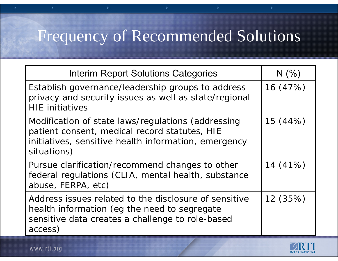x

| <b>Interim Report Solutions Categories</b>                                                                                                                                 | N(% )    |
|----------------------------------------------------------------------------------------------------------------------------------------------------------------------------|----------|
| Establish governance/leadership groups to address<br>privacy and security issues as well as state/regional<br><b>HIE</b> initiatives                                       | 16(47%)  |
| Modification of state laws/regulations (addressing<br>patient consent, medical record statutes, HIE<br>initiatives, sensitive health information, emergency<br>situations) | 15 (44%) |
| Pursue clarification/recommend changes to other<br>federal regulations (CLIA, mental health, substance<br>abuse, FERPA, etc)                                               | 14(41%)  |
| Address issues related to the disclosure of sensitive<br>health information (eg the need to segregate<br>sensitive data creates a challenge to role-based<br>access)       | 12 (35%) |

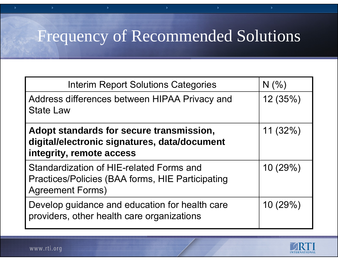x

| <b>Interim Report Solutions Categories</b>                                                                                     | N(% )    |
|--------------------------------------------------------------------------------------------------------------------------------|----------|
| Address differences between HIPAA Privacy and<br><b>State Law</b>                                                              | 12(35%)  |
| Adopt standards for secure transmission,<br>digital/electronic signatures, data/document<br>integrity, remote access           | 11(32%)  |
| Standardization of HIE-related Forms and<br><b>Practices/Policies (BAA forms, HIE Participating</b><br><b>Agreement Forms)</b> | 10(29%)  |
| Develop guidance and education for health care<br>providers, other health care organizations                                   | 10 (29%) |

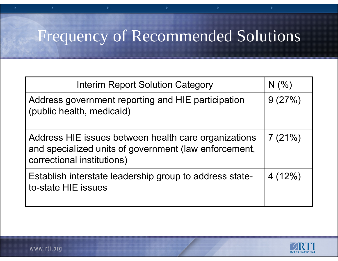x

| <b>Interim Report Solution Category</b>                                                                                                     | N(% )  |
|---------------------------------------------------------------------------------------------------------------------------------------------|--------|
| Address government reporting and HIE participation<br>(public health, medicaid)                                                             | 9(27%) |
| Address HIE issues between health care organizations<br>and specialized units of government (law enforcement,<br>correctional institutions) | 7(21%) |
| Establish interstate leadership group to address state-<br>to-state HIE issues                                                              | 4(12%) |

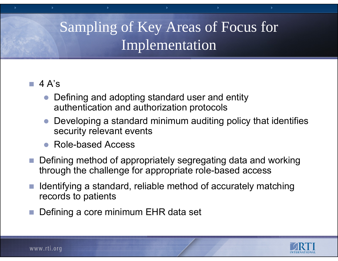## Sampling of Key Areas of Focus for Implementation

#### 4 A's

- $\bullet$  Defining and adopting standard user and entity authentication and authorization protocols
- $\bullet$  Developing a standard minimum auditing policy that identifies security relevant events
- $\bullet$ Role-based Access
- Defining method of appropriately segregating data and working through the challenge for appropriate role-based access
- $\mathbb{R}^n$  Identifying a standard, reliable method of accurately matching records to patients
- Defining a core minimum EHR data set

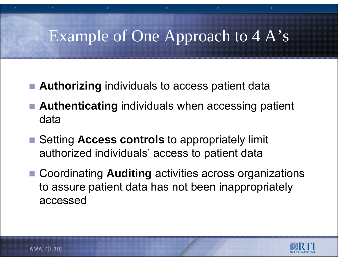# Example of One Approach to 4 A's

- **Authorizing** individuals to access patient data
- **Authenticating** individuals when accessing patient data
- Setting **Access controls** to appropriately limit authorized individuals' access to patient data
- Coordinating Auditing activities across organizations to assure patient data has not been inappropriately accessed

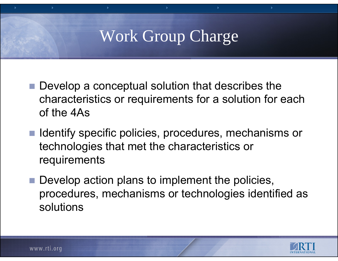# Work Group Charge

- $\blacksquare$  Develop a conceptual solution that describes the characteristics or requirements for a solution for each of the 4As
- Identify specific policies, procedures, mechanisms or technologies that met the characteristics or requirements
- Develop action plans to implement the policies, procedures, mechanisms or technologies identified as solutions

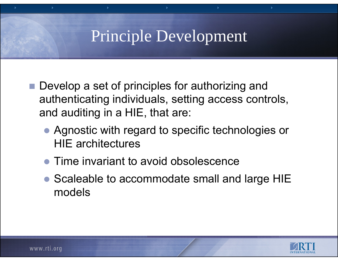## Principle Development

- Develop a set of principles for authorizing and authenticating individuals, setting access controls, and auditing in a HIE, that are:
	- Agnostic with regard to specific technologies or HIE architectures
	- Time invariant to avoid obsolescence
	- Scaleable to accommodate small and large HIE models

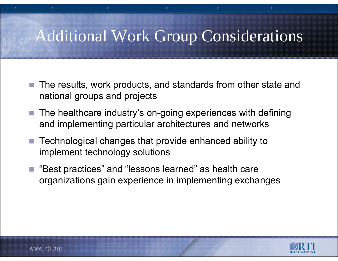# Additional Work Group Considerations

- $\mathcal{C}^{\mathcal{A}}$  The results, work products, and standards from other state and national groups and projects
- The healthcare industry's on-going experiences with defining and implementing particular architectures and networks
- $\mathcal{L}_{\mathcal{A}}$  Technological changes that provide enhanced ability to implement technology solutions
- $\mathcal{L}^{\mathcal{A}}$  "Best practices" and "lessons learned" as health care organizations gain experience in implementing exchanges

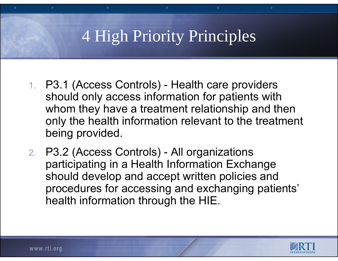# 4 High Priority Principles

- 1. P3.1 (Access Controls) Health care providers should only access information for patients with whom they have a treatment relationship and then only the health information relevant to the treatment being provided.
- 2. P3.2 (Access Controls) All organizations participating in a Health Information Exchange should develop and accept written policies and procedures for accessing and exchanging patients' health information through the HIE.

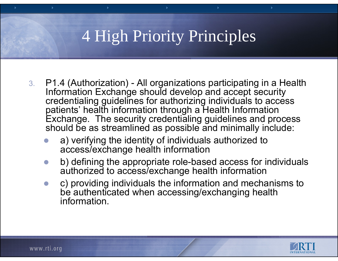# 4 High Priority Principles

- 3. P1.4 (Authorization) All organizations participating in a Health Information Exchange should develop and accept security credentialing guidelines for authorizing individuals to access patients' health information through a Health Information Exchange. The security credentialing guidelines and process should be as streamlined as possible and minimally include:
	- $\bullet$  a) verifying the identity of individuals authorized to access/exchange health information
	- $\bullet$  b) defining the appropriate role-based access for individuals authorized to access/exchange health information
	- $\bullet$  c) providing individuals the information and mechanisms to be authenticated when accessing/exchanging health information.

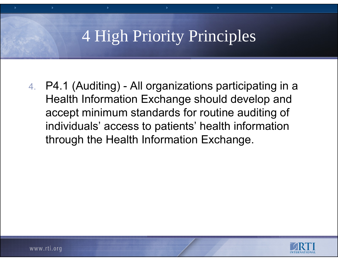## 4 High Priority Principles

4. P4.1 (Auditing) - All organizations participating in a Health Information Exchange should develop and accept minimum standards for routine auditing of individuals' access to patients' health information through the Health Information Exchange.

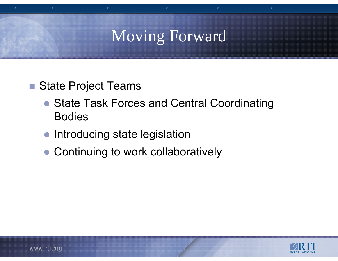## Moving Forward

- State Project Teams
	- State Task Forces and Central Coordinating Bodies
	- $\bullet$ Introducing state legislation
	- Continuing to work collaboratively